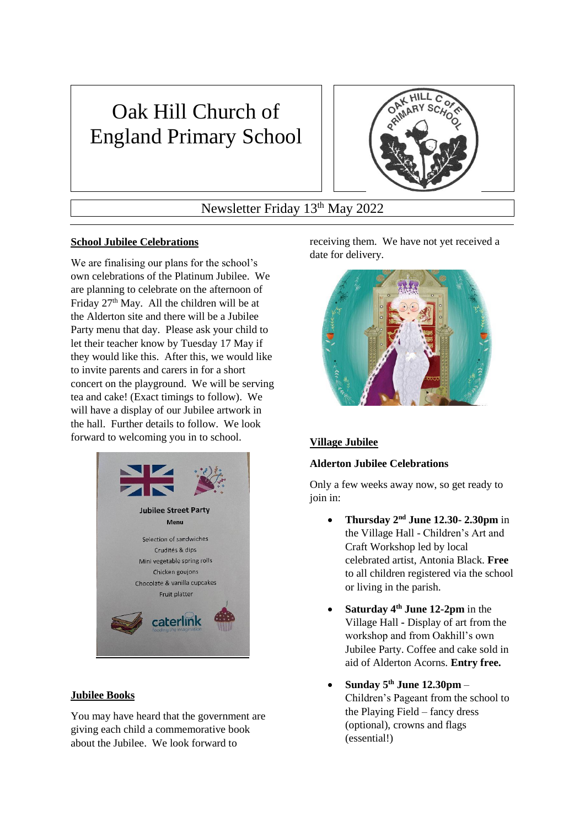# Oak Hill Church of England Primary School



Newsletter Friday 13<sup>th</sup> May 2022

# **School Jubilee Celebrations**

We are finalising our plans for the school's own celebrations of the Platinum Jubilee. We are planning to celebrate on the afternoon of Friday  $27<sup>th</sup>$  May. All the children will be at the Alderton site and there will be a Jubilee Party menu that day. Please ask your child to let their teacher know by Tuesday 17 May if they would like this. After this, we would like to invite parents and carers in for a short concert on the playground. We will be serving tea and cake! (Exact timings to follow). We will have a display of our Jubilee artwork in the hall. Further details to follow. We look forward to welcoming you in to school.



# **Jubilee Books**

You may have heard that the government are giving each child a commemorative book about the Jubilee. We look forward to

receiving them. We have not yet received a date for delivery.



# **Village Jubilee**

# **Alderton Jubilee Celebrations**

Only a few weeks away now, so get ready to join in:

- **Thursday 2nd June 12.30- 2.30pm** in the Village Hall - Children's Art and Craft Workshop led by local celebrated artist, Antonia Black. **Free** to all children registered via the school or living in the parish.
- **Saturday 4th June 12-2pm** in the Village Hall **-** Display of art from the workshop and from Oakhill's own Jubilee Party. Coffee and cake sold in aid of Alderton Acorns. **Entry free.**
- **Sunday 5th June 12.30pm** Children's Pageant from the school to the Playing Field – fancy dress (optional), crowns and flags (essential!)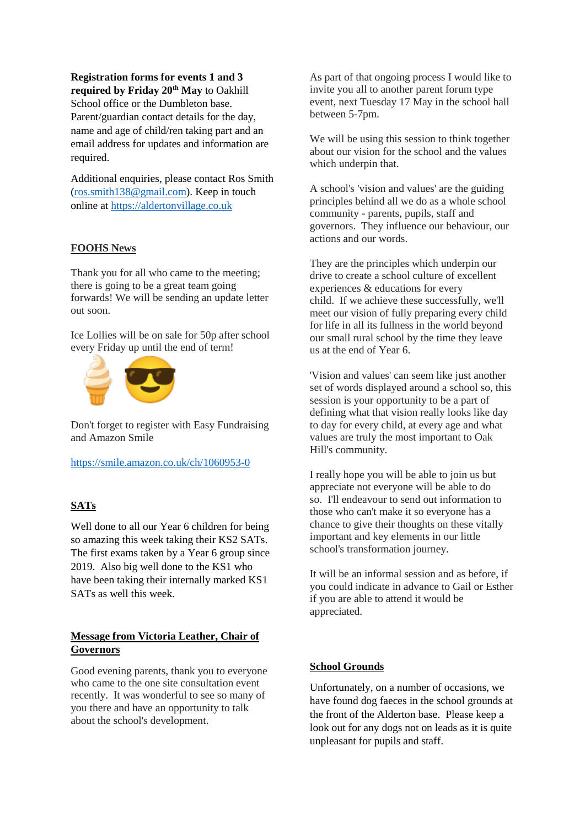**Registration forms for events 1 and 3 required by Friday 20th May** to Oakhill School office or the Dumbleton base. Parent/guardian contact details for the day, name and age of child/ren taking part and an email address for updates and information are required.

Additional enquiries, please contact Ros Smith [\(ros.smith138@gmail.com\)](mailto:ros.smith138@gmail.com). Keep in touch online at [https://aldertonvillage.co.uk](https://aldertonvillage.co.uk/)

#### **FOOHS News**

Thank you for all who came to the meeting; there is going to be a great team going forwards! We will be sending an update letter out soon.

Ice Lollies will be on sale for 50p after school every Friday up until the end of term!



Don't forget to register with Easy Fundraising and Amazon Smile

<https://smile.amazon.co.uk/ch/1060953-0>

# **SATs**

Well done to all our Year 6 children for being so amazing this week taking their KS2 SATs. The first exams taken by a Year 6 group since 2019. Also big well done to the KS1 who have been taking their internally marked KS1 SATs as well this week.

## **Message from Victoria Leather, Chair of Governors**

Good evening parents, thank you to everyone who came to the one site consultation event recently. It was wonderful to see so many of you there and have an opportunity to talk about the school's development.

As part of that ongoing process I would like to invite you all to another parent forum type event, next Tuesday 17 May in the school hall between 5-7pm.

We will be using this session to think together about our vision for the school and the values which underpin that.

A school's 'vision and values' are the guiding principles behind all we do as a whole school community - parents, pupils, staff and governors. They influence our behaviour, our actions and our words.

They are the principles which underpin our drive to create a school culture of excellent experiences & educations for every child. If we achieve these successfully, we'll meet our vision of fully preparing every child for life in all its fullness in the world beyond our small rural school by the time they leave us at the end of Year 6.

'Vision and values' can seem like just another set of words displayed around a school so, this session is your opportunity to be a part of defining what that vision really looks like day to day for every child, at every age and what values are truly the most important to Oak Hill's community.

I really hope you will be able to join us but appreciate not everyone will be able to do so. I'll endeavour to send out information to those who can't make it so everyone has a chance to give their thoughts on these vitally important and key elements in our little school's transformation journey.

It will be an informal session and as before, if you could indicate in advance to Gail or Esther if you are able to attend it would be appreciated.

#### **School Grounds**

Unfortunately, on a number of occasions, we have found dog faeces in the school grounds at the front of the Alderton base. Please keep a look out for any dogs not on leads as it is quite unpleasant for pupils and staff.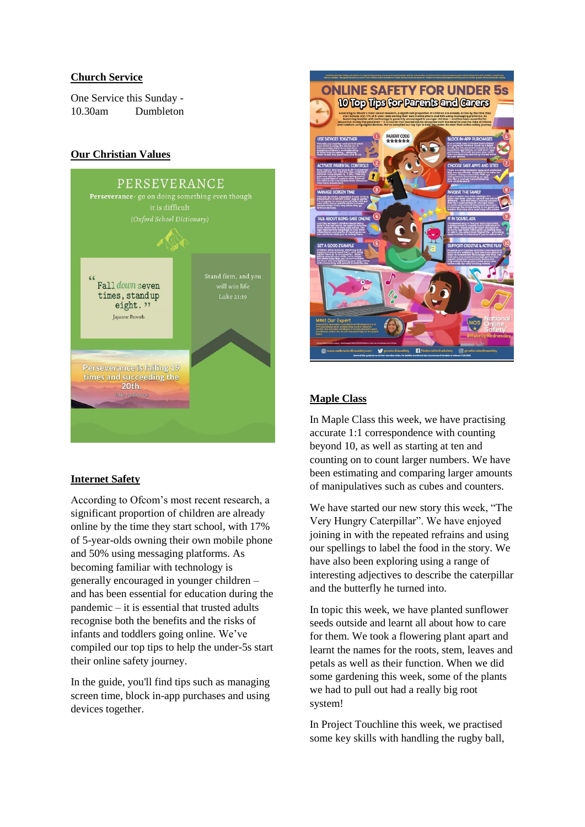## **Church Service**

One Service this Sunday - 10.30am Dumbleton

# **Our Christian Values**



# **Internet Safety**

According to Ofcom's most recent research, a significant proportion of children are already online by the time they start school, with 17% of 5-year-olds owning their own mobile phone and 50% using messaging platforms. As becoming familiar with technology is generally encouraged in younger children – and has been essential for education during the pandemic – it is essential that trusted adults recognise both the benefits and the risks of infants and toddlers going online. We've compiled our top tips to help the under-5s start their online safety journey.

In the guide, you'll find tips such as managing screen time, block in-app purchases and using devices together.



# **Maple Class**

In Maple Class this week, we have practising accurate 1:1 correspondence with counting beyond 10, as well as starting at ten and counting on to count larger numbers. We have been estimating and comparing larger amounts of manipulatives such as cubes and counters.

We have started our new story this week, "The Very Hungry Caterpillar". We have enjoyed joining in with the repeated refrains and using our spellings to label the food in the story. We have also been exploring using a range of interesting adjectives to describe the caterpillar and the butterfly he turned into.

In topic this week, we have planted sunflower seeds outside and learnt all about how to care for them. We took a flowering plant apart and learnt the names for the roots, stem, leaves and petals as well as their function. When we did some gardening this week, some of the plants we had to pull out had a really big root system!

In Project Touchline this week, we practised some key skills with handling the rugby ball,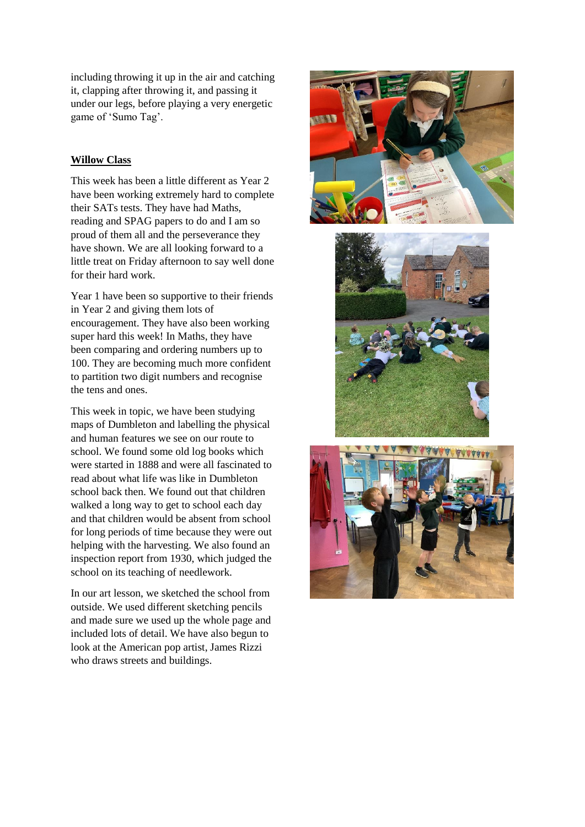including throwing it up in the air and catching it, clapping after throwing it, and passing it under our legs, before playing a very energetic game of 'Sumo Tag'.

#### **Willow Class**

This week has been a little different as Year 2 have been working extremely hard to complete their SATs tests. They have had Maths, reading and SPAG papers to do and I am so proud of them all and the perseverance they have shown. We are all looking forward to a little treat on Friday afternoon to say well done for their hard work.

Year 1 have been so supportive to their friends in Year 2 and giving them lots of encouragement. They have also been working super hard this week! In Maths, they have been comparing and ordering numbers up to 100. They are becoming much more confident to partition two digit numbers and recognise the tens and ones.

This week in topic, we have been studying maps of Dumbleton and labelling the physical and human features we see on our route to school. We found some old log books which were started in 1888 and were all fascinated to read about what life was like in Dumbleton school back then. We found out that children walked a long way to get to school each day and that children would be absent from school for long periods of time because they were out helping with the harvesting. We also found an inspection report from 1930, which judged the school on its teaching of needlework.

In our art lesson, we sketched the school from outside. We used different sketching pencils and made sure we used up the whole page and included lots of detail. We have also begun to look at the American pop artist, James Rizzi who draws streets and buildings.





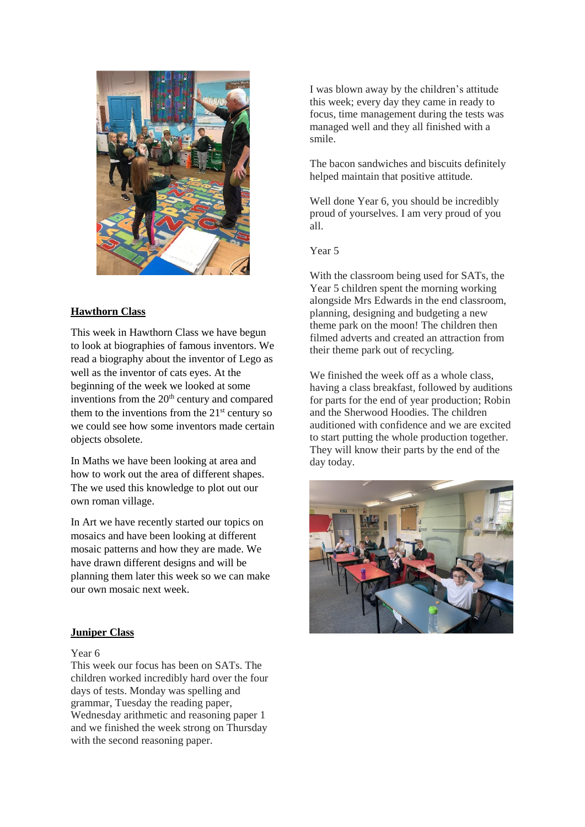

# **Hawthorn Class**

This week in Hawthorn Class we have begun to look at biographies of famous inventors. We read a biography about the inventor of Lego as well as the inventor of cats eyes. At the beginning of the week we looked at some inventions from the 20<sup>th</sup> century and compared them to the inventions from the  $21<sup>st</sup>$  century so we could see how some inventors made certain objects obsolete.

In Maths we have been looking at area and how to work out the area of different shapes. The we used this knowledge to plot out our own roman village.

In Art we have recently started our topics on mosaics and have been looking at different mosaic patterns and how they are made. We have drawn different designs and will be planning them later this week so we can make our own mosaic next week.

#### **Juniper Class**

#### Year 6

This week our focus has been on SATs. The children worked incredibly hard over the four days of tests. Monday was spelling and grammar, Tuesday the reading paper, Wednesday arithmetic and reasoning paper 1 and we finished the week strong on Thursday with the second reasoning paper.

I was blown away by the children's attitude this week; every day they came in ready to focus, time management during the tests was managed well and they all finished with a smile.

The bacon sandwiches and biscuits definitely helped maintain that positive attitude.

Well done Year 6, you should be incredibly proud of yourselves. I am very proud of you all.

Year 5

With the classroom being used for SATs, the Year 5 children spent the morning working alongside Mrs Edwards in the end classroom, planning, designing and budgeting a new theme park on the moon! The children then filmed adverts and created an attraction from their theme park out of recycling.

We finished the week off as a whole class. having a class breakfast, followed by auditions for parts for the end of year production; Robin and the Sherwood Hoodies. The children auditioned with confidence and we are excited to start putting the whole production together. They will know their parts by the end of the day today.

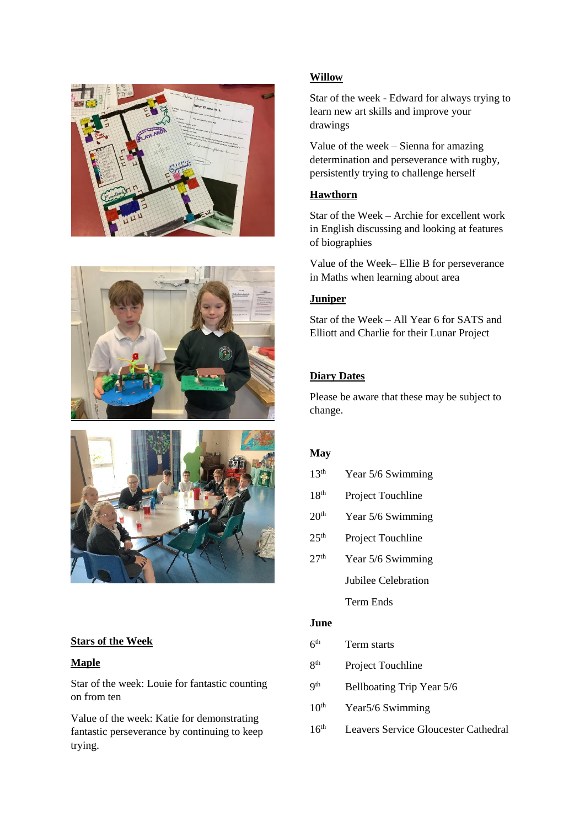





# **Stars of the Week**

#### **Maple**

Star of the week: Louie for fantastic counting on from ten

Value of the week: Katie for demonstrating fantastic perseverance by continuing to keep trying.

# **Willow**

Star of the week - Edward for always trying to learn new art skills and improve your drawings

Value of the week – Sienna for amazing determination and perseverance with rugby, persistently trying to challenge herself

# **Hawthorn**

Star of the Week – Archie for excellent work in English discussing and looking at features of biographies

Value of the Week– Ellie B for perseverance in Maths when learning about area

# **Juniper**

Star of the Week – All Year 6 for SATS and Elliott and Charlie for their Lunar Project

## **Diary Dates**

Please be aware that these may be subject to change.

#### **May**

- 13<sup>th</sup> Year 5/6 Swimming
- 18<sup>th</sup> Project Touchline
- $20<sup>th</sup>$  Year 5/6 Swimming
- 25<sup>th</sup> Project Touchline
- $27<sup>th</sup>$  Year 5/6 Swimming Jubilee Celebration Term Ends

#### **June**

- $6<sup>th</sup>$ Term starts
- 8 Project Touchline
- $q<sup>th</sup>$ Bellboating Trip Year 5/6
- $10<sup>th</sup>$  Year 5/6 Swimming
- 16th Leavers Service Gloucester Cathedral